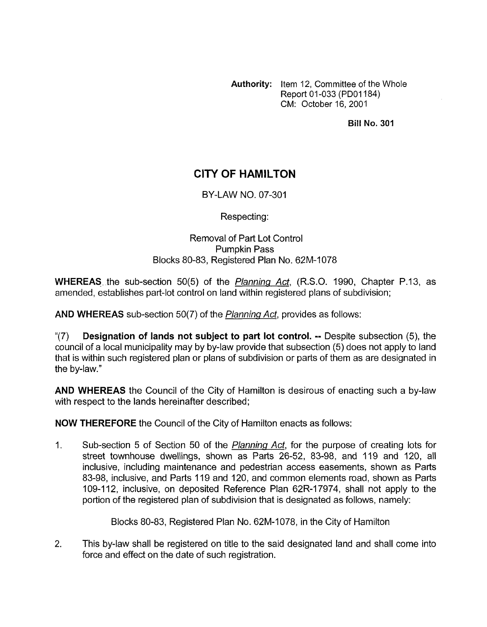**Authority:** Item 12, Committee of the Whole Report 01-033 (PD01184) CM: October 16,2001

**Bill No. 301** 

## **CITY OF HAMILTON**

BY-LAW NO. 07-301

Respecting:

## Removal of Part Lot Control Pumpkin Pass Blocks 80-83, Registered Plan No. 62M-1078

**WHEREAS.** the sub-section 50(5) of the *Planning Act,* (R.S.O. 1990, Chapter P.13, as amended, establishes part-lot control on land within registered plans of subdivision;

**AND WHEREAS** sub-section 50(7) of the *Plannina Act,* provides as follows:

"(7) **Designation of lands not subject to part lot control.** -- Despite subsection *(5),* the council of a local municipality may by by-law provide that subsection (5) does not apply to land that is within such registered plan or plans of subdivision or parts of them as are designated in the by-law."

**AND WHEREAS** the Council of the City of Hamilton is desirous of enacting such a by-law with respect to the lands hereinafter described;

**NOW THEREFORE** the Council of the City of Hamilton enacts as follows:

1. Sub-section 5 of Section 50 of the *Planning Acf,* for the purpose of creating lots for street townhouse dwellings, shown as Parts 26-52, 83-98, and 119 and 120, all inclusive, including maintenance and pedestrian access easements, shown as Parts 83-98, inclusive, and Parts 119 and 120, and common elements road, shown as Parts 109-1 12, inclusive, on deposited Reference Plan 62R-17974, shall not apply to the portion of the registered plan of subdivision that is designated as follows, namely:

Blocks 80-83, Registered Plan No. 62M-1078, in the City of Hamilton

2. This by-law shall be registered on title to the said designated land and shall come into force and effect on the date of such registration.